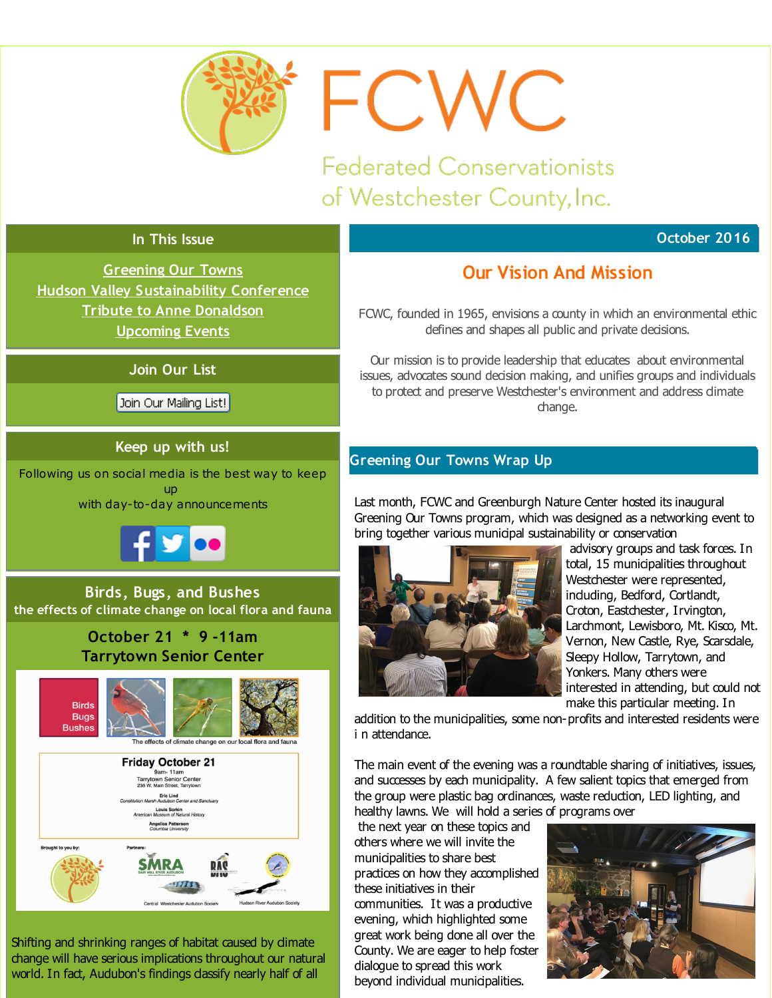<span id="page-0-0"></span>

FCWC

**Federated Conservationists** of Westchester County, Inc.

## **October 2016**

#### **In This Issue**

**[Greening](#page-0-0) Our Towns Hudson Valley [Sustainability](#page-0-0) Conference Tribute to Anne [Donaldson](#page-0-0) [Upcoming](#page-0-0) Events**

#### **Join Our List**

Join Our Mailing List!

### **Keep up with us!**

Following us on social media is the best way to keep up with day-to-day announcements



**Birds, Bugs, and Bushes the effects of climate change on local flora and fauna**

## **October 21 \* 9 -11am Tarrytown Senior Center**



Shifting and shrinking ranges of habitat caused by climate change will have serious implications throughout our natural world. In fact, Audubon's findings dassify nearly half of all

# **Our Vision And Mission**

FCWC, founded in 1965, envisions a county in which an environmental ethic defines and shapes all public and private decisions.

Our mission is to provide leadership that educates about environmental issues, advocates sound decision making, and unifies groups and individuals to protect and preserve Westchester's environment and address climate change.

## **Greening Our Towns Wrap Up**

Last month, FCWC and Greenburgh Nature Center hosted its inaugural Greening Our Towns program, which was designed as a networking event to bring together various municipal sustainability or conservation



advisory groups and task forces. In total, 15 municipalities throughout Westchester were represented, including, Bedford, Cortlandt, Croton, Eastchester, Irvington, Larchmont, Lewisboro, Mt. Kisco, Mt. Vernon, New Castle, Rye, Scarsdale, Sleepy Hollow, Tarrytown, and Yonkers. Many others were interested in attending, but could not make this particular meeting. In

addition to the municipalities, some non-profits and interested residents were i n attendance.

The main event of the evening was a roundtable sharing of initiatives, issues, and successes by each municipality. A few salient topics that emerged from the group were plastic bag ordinances, waste reduction, LED lighting, and healthy lawns. We will hold a series of programs over

the next year on these topics and others where we will invite the municipalities to share best practices on how they accomplished these initiatives in their communities. It was a productive evening, which highlighted some great work being done all over the County. We are eager to help foster dialogue to spread this work beyond individual municipalities.

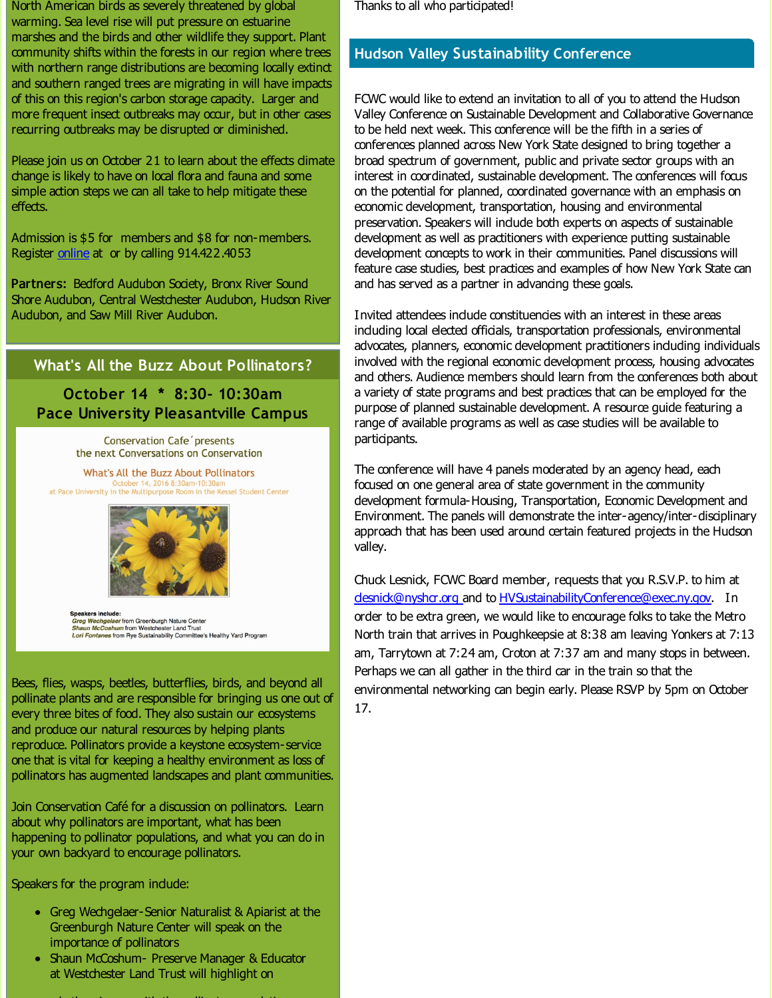North American birds as severely threatened by global warming. Sea level rise will put pressure on estuarine marshes and the birds and other wildlife they support. Plant community shifts within the forests in our region where trees with northern range distributions are becoming locally extinct and southern ranged trees are migrating in will have impacts of this on this region's carbon storage capacity. Larger and more frequent insect outbreaks may occur, but in other cases recurring outbreaks may be disrupted or diminished.

Please join us on October 21 to learn about the effects dimate change is likely to have on local flora and fauna and some simple action steps we can all take to help mitigate these effects.

Admission is \$5 for members and \$8 for non-members. Register [online](http://r20.rs6.net/tn.jsp?f=001kaeOu5yZSwmCEv_dP5quIzHZLjWoGWWx-88oHLTHwjpiymCud_oZUrj5hY8ZaMzieNeZm5RVzJV_Zou89T8uvkimDKdwtvUCeHhy51VUG3BD9b57zAV3dYhkRT1PKGa7cm-wgxUepkTnd-T8XSmpHb36-ahliNjghV2NeJXxfWiz2zYw9gZRnfrxqJTxU9U517SFeNIPBRohF4gphhZNZLGtHDXjoCyWuUhFN2wi37uNuIaPVkWD3JCkax1S8tmJA9Seld9kw94=&c=&ch=) at or by calling 914.422.4053

Partners: Bedford Audubon Society, Bronx River Sound Shore Audubon, Central Westchester Audubon, Hudson River Audubon, and Saw Mill River Audubon.

### **What's All the Buzz About Pollinators?**

## **October 14 \* 8:30- 10:30am Pace University Pleasantville Campus**

**Conservation Cafe** presents the next Conversations on Conservation

**What's All the Buzz About Pollinators** October 14, 2016 8:30am-10:30am at Pace University in the Multipurpose Room in the Kessel Student Center



**Speakers include:** Greg Wechgelaer from Greenburgh Nature Center<br>
Shaun McCoshum from Westchester Land Trust<br>
Lori Fontanes from Rye Sustainability Committee's Healthy Yard Program

Bees, flies, wasps, beetles, butterflies, birds, and beyond all pollinate plants and are responsible for bringing us one out of every three bites of food. They also sustain our ecosystems and produce our natural resources by helping plants reproduce. Pollinators provide a keystone ecosystem-service one that is vital for keeping a healthy environment as loss of pollinators has augmented landscapes and plant communities.

Join Conservation Café for a discussion on pollinators. Learn about why pollinators are important, what has been happening to pollinator populations, and what you can do in your own backyard to encourage pollinators.

Speakers for the program indude:

- Greg Wechgelaer-Senior Naturalist & Apiarist at the Greenburgh Nature Center will speak on the importance of pollinators
- Shaun McCoshum- Preserve Manager & Educator at Westchester Land Trust will highlight on

where  $\alpha$  is going on with the pollinator political intervals on  $\alpha$  ,  $\alpha$ 

Thanks to all who participated!

### **Hudson Valley Sustainability Conference**

FCWC would like to extend an invitation to all of you to attend the Hudson Valley Conference on Sustainable Development and Collaborative Governance to be held next week. This conference will be the fifth in a series of conferences planned across New York State designed to bring together a broad spectrum of government, public and private sector groups with an interest in coordinated, sustainable development. The conferences will focus on the potential for planned, coordinated governance with an emphasis on economic development, transportation, housing and environmental preservation. Speakers will indude both experts on aspects of sustainable development as well as practitioners with experience putting sustainable development concepts to work in their communities. Panel discussions will feature case studies, best practices and examples of how New York State can and has served as a partner in advancing these goals.

Invited attendees indude constituencies with an interest in these areas induding local elected officials, transportation professionals, environmental advocates, planners, economic development practitioners induding individuals involved with the regional economic development process, housing advocates and others. Audience members should learn from the conferences both about a variety of state programs and best practices that can be employed for the purpose of planned sustainable development. A resource guide featuring a range of available programs as well as case studies will be available to participants.

The conference will have 4 panels moderated by an agency head, each focused on one general area of state government in the community development formula-Housing, Transportation, Economic Development and Environment. The panels will demonstrate the inter-agency/inter-disciplinary approach that has been used around certain featured projects in the Hudson valley.

Chuck Lesnick, FCWC Board member, requests that you R.S.V.P. to him at desnick@nyshcr.org and to [HVSustainabilityConference@exec.ny.gov](mailto:HVSustainabilityConference@exec.ny.gov). In order to be extra green, we would like to encourage folks to take the Metro North train that arrives in Poughkeepsie at 8:38 am leaving Yonkers at 7:13 am, Tarrytown at 7:24 am, Croton at 7:37 am and many stops in between. Perhaps we can all gather in the third car in the train so that the environmental networking can begin early. Please RSVP by 5pm on October 17.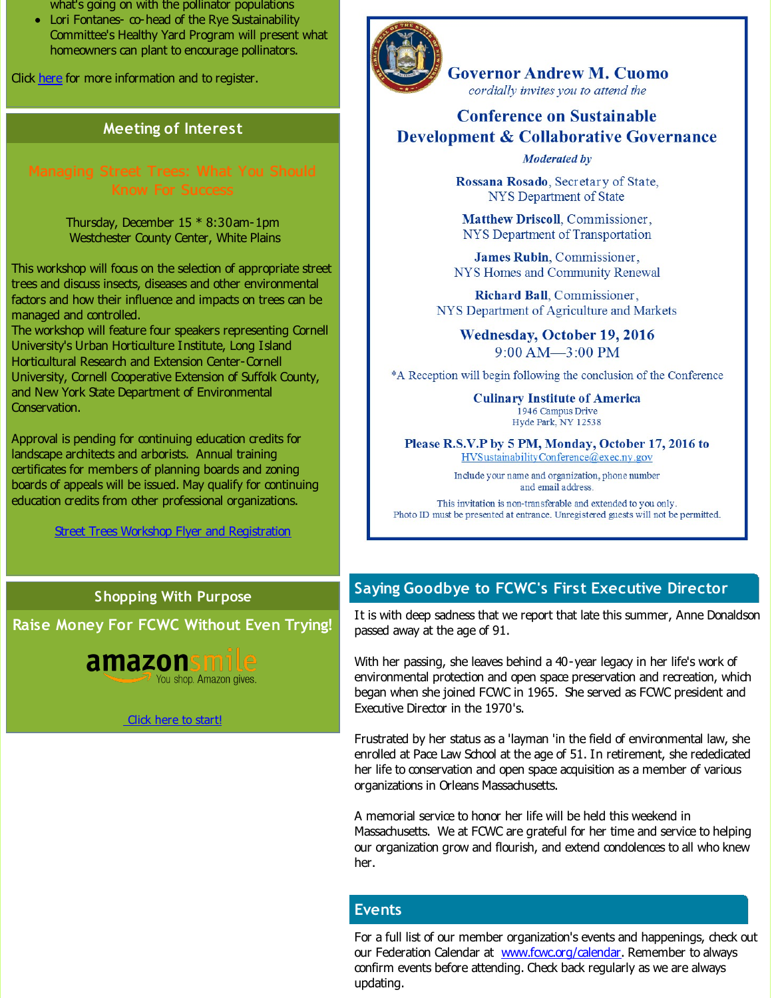what's going on with the pollinator populations

• Lori Fontanes- co-head of the Rye Sustainability Committee's Healthy Yard Program will present what homeowners can plant to encourage pollinators.

Click [here](http://r20.rs6.net/tn.jsp?f=001kaeOu5yZSwmCEv_dP5quIzHZLjWoGWWx-88oHLTHwjpiymCud_oZUrj5hY8ZaMziDKUxjXxSpLDHvIBtYTt4S5XXTMGFdytrbXeyuHeJAzF9XeYX16UEk0YdlArb-6hjv-wd14eDw_Up646hH1Uq2Dd4d0YOjyT7NTNfW3LFIjWNMZlzufbNTvsPocZbwmTg&c=&ch=) for more information and to register.

## **Meeting of Interest**

Thursday, December 15 \* 8:30am-1pm Westchester County Center, White Plains

This workshop will focus on the selection of appropriate street trees and discuss insects, diseases and other environmental factors and how their influence and impacts on trees can be managed and controlled.

The workshop will feature four speakers representing Cornell University's Urban Horticulture Institute, Long Island Horticultural Research and Extension Center-Cornell University, Cornell Cooperative Extension of Suffolk County, and New York State Department of Environmental Conservation.

Approval is pending for continuing education credits for landscape architects and arborists. Annual training certificates for members of planning boards and zoning boards of appeals will be issued. May qualify for continuing education credits from other professional organizations.

**Street Trees Workshop Flyer and [Registration](http://r20.rs6.net/tn.jsp?f=001kaeOu5yZSwmCEv_dP5quIzHZLjWoGWWx-88oHLTHwjpiymCud_oZUrj5hY8ZaMziy-1Ns1Wj7iODbp3p9Ylp6Ph84U6ZsvHFh1RCKTGYIHUi7LoWJqOhGswQqEDhWPsEzOmjtwsf1YyDuLacwAp08V8w84V4d7OOJ0FoIvkws3j66J71EDFzciQh03Beqg0iEY78MTRu7XFoOoZMb_XxueRRxM8xNbKJCZvloruX3qXSJlW8ICjOqJI5XcquQD8J&c=&ch=)** 

### **Shopping With Purpose**

**Raise Money For FCWC Without Even Trying!**







**Governor Andrew M. Cuomo** cordially invites you to attend the

## **Conference on Sustainable Development & Collaborative Governance**

#### **Moderated by**

Rossana Rosado, Secretary of State, **NYS** Department of State

Matthew Driscoll, Commissioner, NYS Department of Transportation

James Rubin, Commissioner, NYS Homes and Community Renewal

Richard Ball, Commissioner, NYS Department of Agriculture and Markets

Wednesday, October 19, 2016  $9:00$  AM $-3:00$  PM

\*A Reception will begin following the conclusion of the Conference

**Culinary Institute of America** 1946 Campus Drive Hyde Park, NY 12538

Please R.S.V.P by 5 PM, Monday, October 17, 2016 to HVSustainability Conference@exec.ny.gov

> Include your name and organization, phone number and email address.

This invitation is non-transferable and extended to you only. Photo ID must be presented at entrance. Unregistered guests will not be permitted.

## **Saying Goodbye to FCWC's First Executive Director**

It is with deep sadness that we report that late this summer, Anne Donaldson passed away at the age of 91.

With her passing, she leaves behind a 40-year legacy in her life's work of environmental protection and open space preservation and recreation, which began when she joined FCWC in 1965. She served as FCWC president and Executive Director in the 1970's.

Frustrated by her status as a 'layman 'in the field of environmental law, she enrolled at Pace Law School at the age of 51. In retirement, she rededicated her life to conservation and open space acquisition as a member of various organizations in Orleans Massachusetts.

A memorial service to honor her life will be held this weekend in Massachusetts. We at FCWC are grateful for her time and service to helping our organization grow and flourish, and extend condolences to all who knew her.

## **Events**

For a full list of our member organization's events and happenings, check out our Federation Calendar at **www.fowc.org/calendar**. Remember to always confirm events before attending. Check back regularly as we are always updating.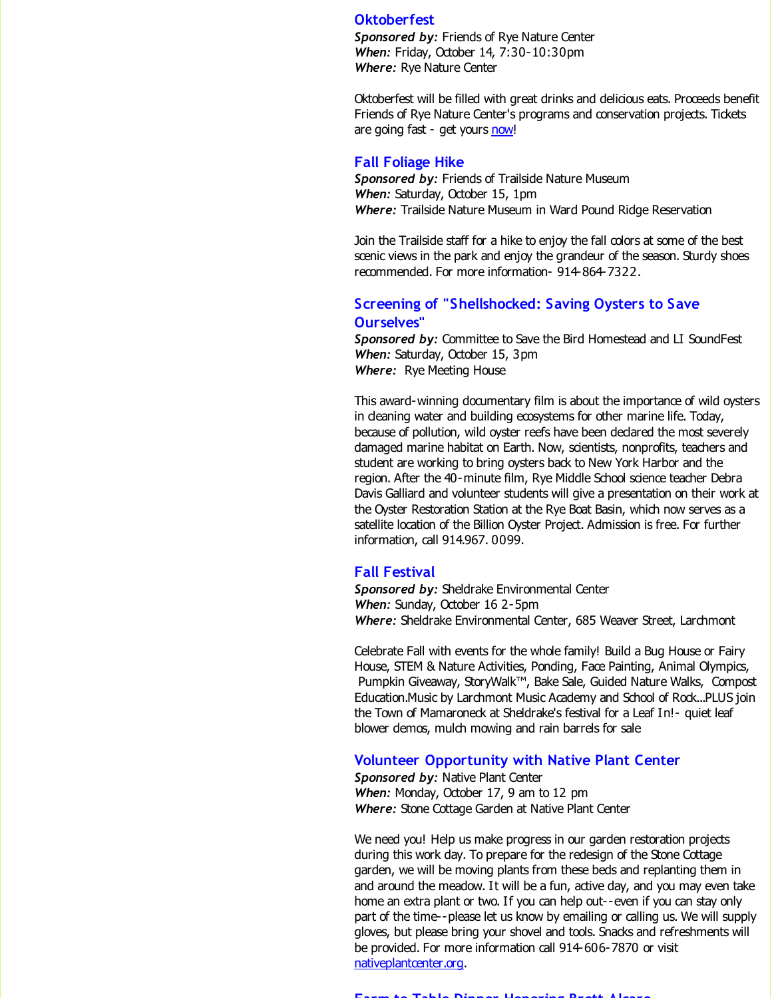#### **Oktoberfest**

*Sponsored by:* Friends of Rye Nature Center *When:* Friday, October 14, 7:30-10:30pm *Where:* Rye Nature Center

Oktoberfest will be filled with great drinks and delicious eats. Proceeds benefit Friends of Rye Nature Center's programs and conservation projects. Tickets are going fast - get yours [now](http://r20.rs6.net/tn.jsp?f=001kaeOu5yZSwmCEv_dP5quIzHZLjWoGWWx-88oHLTHwjpiymCud_oZUrj5hY8ZaMzijsW_eMkx7qi2Plp7fyVK-yGsDGG6bN3OVidEoWlq2BKNydiVgDeVvkcdkIoyT285L_U3FWT806xPhPg5CxLVBcOxUdiOqpPh0fkIpLHyC_JqgDHiHbvtj-0dx2ggiH1RABMCPG_3TeFCfsPZqNmIZYTDjFQtpR-afEvehoTJBbU=&c=&ch=)!

#### **Fall Foliage Hike**

*Sponsored by:* Friends of Trailside Nature Museum *When:* Saturday, October 15, 1pm *Where:* Trailside Nature Museum in Ward Pound Ridge Reservation

Join the Trailside staff for a hike to enjoy the fall colors at some of the best scenic views in the park and enjoy the grandeur of the season. Sturdy shoes recommended. For more information- 914-864-7322.

#### **Screening of "Shellshocked: Saving Oysters to Save Ourselves"**

*Sponsored by:* Committee to Save the Bird Homestead and LI SoundFest *When:* Saturday, October 15, 3pm *Where:* Rye Meeting House

This award-winning documentary film is about the importance of wild oysters in deaning water and building ecosystems for other marine life. Today, because of pollution, wild oyster reefs have been declared the most severely damaged marine habitat on Earth. Now, scientists, nonprofits, teachers and student are working to bring oysters back to New York Harbor and the region. After the 40-minute film, Rye Middle School science teacher Debra Davis Galliard and volunteer students will give a presentation on their work at the Oyster Restoration Station at the Rye Boat Basin, which now serves as a satellite location of the Billion Oyster Project. Admission is free. For further information, call 914.967. 0099.

#### **Fall Festival**

*Sponsored by:* Sheldrake Environmental Center *When:* Sunday, October 16 2-5pm *Where:* Sheldrake Environmental Center, 685 Weaver Street, Larchmont

Celebrate Fall with events for the whole family! Build a Bug House or Fairy House, STEM & Nature Activities, Ponding, Face Painting, Animal Olympics, Pumpkin Giveaway, StoryWalk™, Bake Sale, Guided Nature Walks, Compost Education.Music by Larchmont Music Academy and School of Rock...PLUS join the Town of Mamaroneck at Sheldrake's festival for a Leaf In!- quiet leaf blower demos, mulch mowing and rain barrels for sale

#### **Volunteer Opportunity with Native Plant Center**

*Sponsored by:* Native Plant Center *When:* Monday, October 17, 9 am to 12 pm *Where:* Stone Cottage Garden at Native Plant Center

We need you! Help us make progress in our garden restoration projects during this work day. To prepare for the redesign of the Stone Cottage garden, we will be moving plants from these beds and replanting them in and around the meadow. It will be a fun, active day, and you may even take home an extra plant or two. If you can help out--even if you can stay only part of the time--please let us know by emailing or calling us. We will supply gloves, but please bring your shovel and tools. Snacks and refreshments will be provided. For more information call 914-606-7870 or visit [nativeplantcenter.org](http://r20.rs6.net/tn.jsp?f=001kaeOu5yZSwmCEv_dP5quIzHZLjWoGWWx-88oHLTHwjpiymCud_oZUrj5hY8ZaMziSLuOMZOQyF-Bq7fmhrxhk1RaPZ2b5-hDk9kzeOiVC9r9YBxDJNrySzv7FM_PrVhoLzB5Vdp8KzjN_RYtiH-3Xf_1f1lvZOIg6puq4DwIxfVVh2j9Ltk2vg==&c=&ch=).

**Farm to Table Dinner Honoring Brett Alcaro**